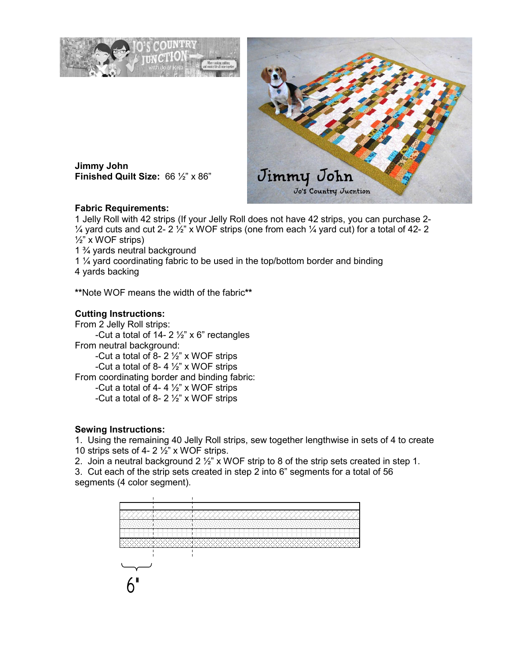



**Jimmy John Finished Quilt Size:** 66 ½" x 86"

## **Fabric Requirements:**

1 Jelly Roll with 42 strips (If your Jelly Roll does not have 42 strips, you can purchase 2-  $\frac{1}{4}$  yard cuts and cut 2- 2  $\frac{1}{2}$ " x WOF strips (one from each  $\frac{1}{4}$  yard cut) for a total of 42- 2  $\frac{1}{2}$ " x WOF strips)

1 ¾ yards neutral background

1 ¼ yard coordinating fabric to be used in the top/bottom border and binding

4 yards backing

**\*\***Note WOF means the width of the fabric**\*\*** 

## **Cutting Instructions:**

From 2 Jelly Roll strips: -Cut a total of 14-  $2\frac{1}{2}$ " x 6" rectangles From neutral background: -Cut a total of 8- 2  $\frac{1}{2}$ " x WOF strips -Cut a total of 8-4 $\frac{1}{2}$ " x WOF strips From coordinating border and binding fabric: -Cut a total of 4- 4  $\frac{1}{2}$ " x WOF strips -Cut a total of 8-  $2\frac{1}{2}$ " x WOF strips

## **Sewing Instructions:**

1. Using the remaining 40 Jelly Roll strips, sew together lengthwise in sets of 4 to create 10 strips sets of 4-  $2\frac{1}{2}$ " x WOF strips.

2. Join a neutral background 2 ½" x WOF strip to 8 of the strip sets created in step 1.

3. Cut each of the strip sets created in step 2 into 6" segments for a total of 56 segments (4 color segment).

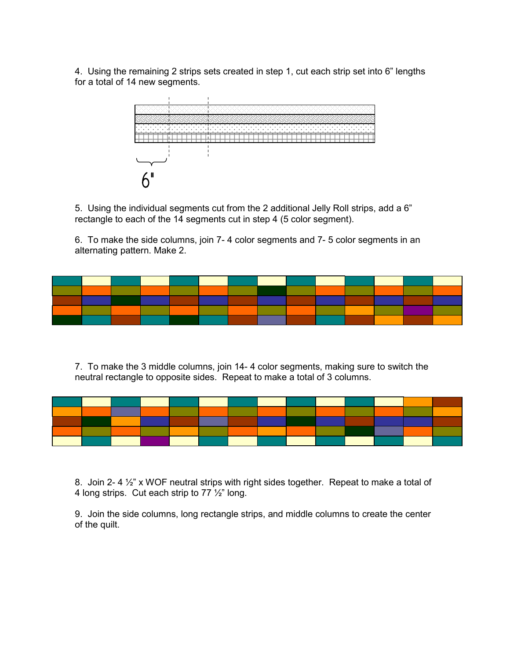4. Using the remaining 2 strips sets created in step 1, cut each strip set into 6" lengths for a total of 14 new segments.



5. Using the individual segments cut from the 2 additional Jelly Roll strips, add a 6" rectangle to each of the 14 segments cut in step 4 (5 color segment).

6. To make the side columns, join 7- 4 color segments and 7- 5 color segments in an alternating pattern. Make 2.



7. To make the 3 middle columns, join 14- 4 color segments, making sure to switch the neutral rectangle to opposite sides. Repeat to make a total of 3 columns.



8. Join 2-4 1/<sub>2</sub>" x WOF neutral strips with right sides together. Repeat to make a total of 4 long strips. Cut each strip to 77 ½" long.

9. Join the side columns, long rectangle strips, and middle columns to create the center of the quilt.